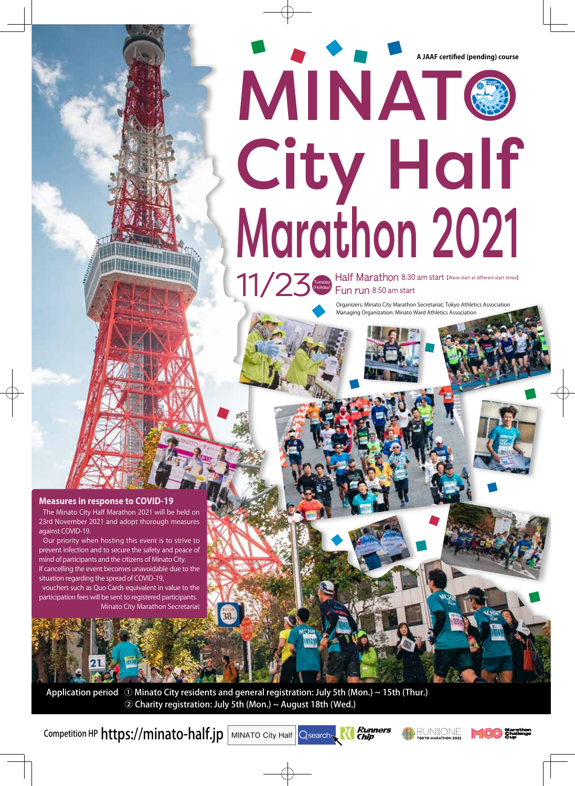# **A JAAF certified (pending) course** MINATO **City Half** Marathon 2021

Half Marathon 8:30 am start IWave start at different start times] Tuesday)<br>
Fun run 8:50 am start

> Organizers: Minato City Marathon Secretariat, Tokyo Athletics Association Managing Organization: Minato Ward Athletics Association

**Measures in response to COVID-19** 

The Minato City Half Marathon 2021 will be held on 23rd November 2021 and adopt thorough measures against COVID-19.

Our priority when hosting this event is to strive to prevent infection and to secure the safety and peace of mind of participants and the citizens of Minato City. If cancelling the event becomes unavoidable due to the situation regarding the spread of COVID-19,

vouchers such as Quo Cards equivalent in value to the participation fees will be sent to registered participants. Minato City Marathon Secretariat

Application period  $\odot$  Minato City residents and general registration: July 5th (Mon.) ~ 15th (Thur.) (2) Charity registration: July 5th (Mon.) ~ August 18th (Wed.)

Competition HP  $https://minato-half.jp|$  MINATO City Half  $\overline{\big|}$  Qsearch





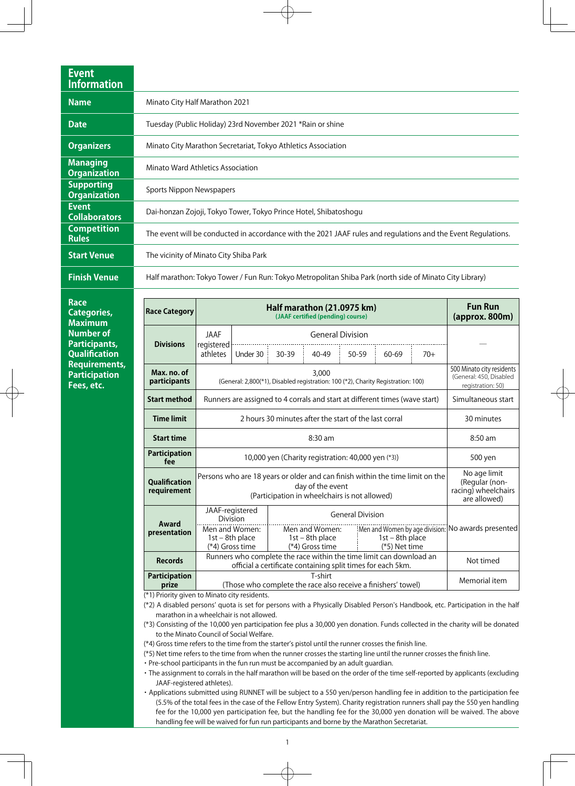| <b>Event</b><br><b>Information</b>       |                                                                                                               |
|------------------------------------------|---------------------------------------------------------------------------------------------------------------|
| <b>Name</b>                              | Minato City Half Marathon 2021                                                                                |
| <b>Date</b>                              | Tuesday (Public Holiday) 23rd November 2021 *Rain or shine                                                    |
| <b>Organizers</b>                        | Minato City Marathon Secretariat, Tokyo Athletics Association                                                 |
| <b>Managing</b><br><b>Organization</b>   | Minato Ward Athletics Association                                                                             |
| <b>Supporting</b><br><b>Organization</b> | Sports Nippon Newspapers                                                                                      |
| <b>Event</b><br><b>Collaborators</b>     | Dai-honzan Zojoji, Tokyo Tower, Tokyo Prince Hotel, Shibatoshogu                                              |
| <b>Competition</b><br><b>Rules</b>       | The event will be conducted in accordance with the 2021 JAAF rules and regulations and the Event Regulations. |
| <b>Start Venue</b>                       | The vicinity of Minato City Shiba Park                                                                        |
| <b>Finish Venue</b>                      | Half marathon: Tokyo Tower / Fun Run: Tokyo Metropolitan Shiba Park (north side of Minato City Library)       |

 **Race Categories, Maximum Number** of **Participants, Qualification Requirements, Participation Fees**, etc.

| <b>Race Category</b>                | Half marathon (21.0975 km)<br>(JAAF certified (pending) course)                                                                                    |                                                        |           |                                                        |       |  |                                      | <b>Fun Run</b><br>(approx. 800m)                                          |                                                    |
|-------------------------------------|----------------------------------------------------------------------------------------------------------------------------------------------------|--------------------------------------------------------|-----------|--------------------------------------------------------|-------|--|--------------------------------------|---------------------------------------------------------------------------|----------------------------------------------------|
|                                     | <b>JAAF</b>                                                                                                                                        | <b>General Division</b>                                |           |                                                        |       |  |                                      |                                                                           |                                                    |
| <b>Divisions</b>                    | registered<br>athletes                                                                                                                             | Under 30                                               | $30 - 39$ | 40-49                                                  | 50-59 |  | 60-69                                | $70+$                                                                     |                                                    |
| Max. no. of<br>participants         | 3,000<br>(General: 2,800(*1), Disabled registration: 100 (*2), Charity Registration: 100)                                                          |                                                        |           |                                                        |       |  |                                      | 500 Minato city residents<br>(General: 450, Disabled<br>registration: 50) |                                                    |
| <b>Start method</b>                 | Runners are assigned to 4 corrals and start at different times (wave start)                                                                        |                                                        |           |                                                        |       |  | Simultaneous start                   |                                                                           |                                                    |
| <b>Time limit</b>                   | 2 hours 30 minutes after the start of the last corral                                                                                              |                                                        |           |                                                        |       |  | 30 minutes                           |                                                                           |                                                    |
| <b>Start time</b>                   | $8:30$ am                                                                                                                                          |                                                        |           |                                                        |       |  |                                      | $8:50$ am                                                                 |                                                    |
| <b>Participation</b><br>fee         | 10,000 yen (Charity registration: 40,000 yen (*3))                                                                                                 |                                                        |           |                                                        |       |  |                                      | 500 yen                                                                   |                                                    |
| <b>Qualification</b><br>requirement | Persons who are 18 years or older and can finish within the time limit on the<br>day of the event<br>(Participation in wheelchairs is not allowed) |                                                        |           |                                                        |       |  |                                      | No age limit<br>(Regular (non-<br>racing) wheelchairs<br>are allowed)     |                                                    |
| Award<br>presentation               |                                                                                                                                                    | JAAF-registered<br><b>General Division</b><br>Division |           |                                                        |       |  |                                      |                                                                           |                                                    |
|                                     | (*4) Gross time                                                                                                                                    | Men and Women:<br>$1st - 8th place$                    |           | Men and Women:<br>$1st - 8th place$<br>(*4) Gross time |       |  | $1st - 8th place$<br>$(*5)$ Net time |                                                                           | Men and Women by age division: No awards presented |
| <b>Records</b>                      | Runners who complete the race within the time limit can download an<br>official a certificate containing split times for each 5km.                 |                                                        |           |                                                        |       |  | Not timed                            |                                                                           |                                                    |
| <b>Participation</b><br>prize       | T-shirt<br>(Those who complete the race also receive a finishers' towel)                                                                           |                                                        |           |                                                        |       |  | Memorial item                        |                                                                           |                                                    |

 $(*1)$  Priority given to Minato city residents.

(\*2) A disabled persons' quota is set for persons with a Physically Disabled Person's Handbook, etc. Participation in the half marathon in a wheelchair is not allowed.

(\*3) Consisting of the 10,000 yen participation fee plus a 30,000 yen donation. Funds collected in the charity will be donated to the Minato Council of Social Welfare.

 $(*4)$  Gross time refers to the time from the starter's pistol until the runner crosses the finish line.

(\*5) Net time refers to the time from when the runner crosses the starting line until the runner crosses the finish line.

. Pre-school participants in the fun run must be accompanied by an adult guardian.

• The assignment to corrals in the half marathon will be based on the order of the time self-reported by applicants (excluding JAAF-registered athletes).

• Applications submitted using RUNNET will be subject to a 550 yen/person handling fee in addition to the participation fee (5.5% of the total fees in the case of the Fellow Entry System). Charity registration runners shall pay the 550 yen handling fee for the 10,000 yen participation fee, but the handling fee for the 30,000 yen donation will be waived. The above handling fee will be waived for fun run participants and borne by the Marathon Secretariat.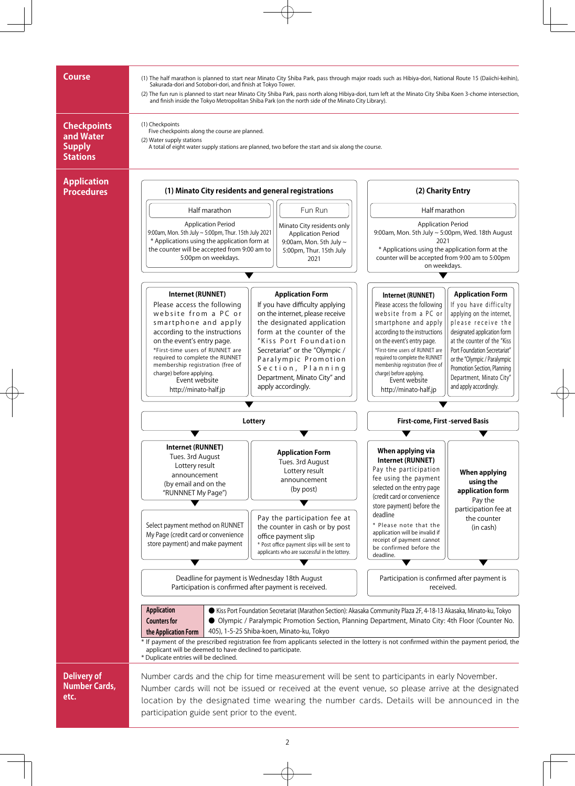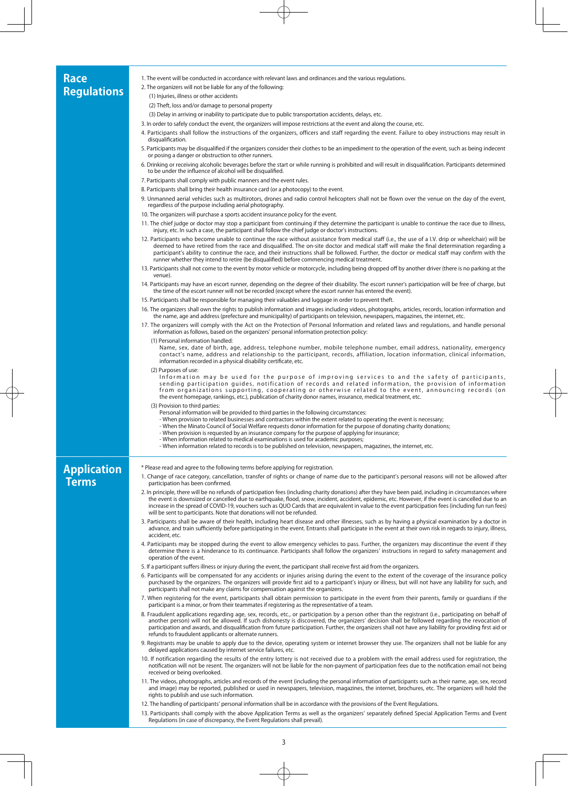### **Race Regulations**

1. The event will be conducted in accordance with relevant laws and ordinances and the various regulations.

2. The organizers will not be liable for any of the following:

 $(1)$  Injuries, illness or other accidents

(2) Theft, loss and/or damage to personal property

(3) Delay in arriving or inability to participate due to public transportation accidents, delays, etc.

- 3. In order to safely conduct the event, the organizers will impose restrictions at the event and along the course, etc.
- 4. Participants shall follow the instructions of the organizers, officers and staff regarding the event. Failure to obey instructions may result in disqualification.
- 5. Participants may be disqualified if the organizers consider their clothes to be an impediment to the operation of the event, such as being indecent or posing a danger or obstruction to other runners
- 6. Drinking or receiving alcoholic beverages before the start or while running is prohibited and will result in disqualification. Participants determined to be under the influence of alcohol will be disqualified.
- 7. Participants shall comply with public manners and the event rules.
- 8. Participants shall bring their health insurance card (or a photocopy) to the event.
- 9. Unmanned aerial vehicles such as multirotors, drones and radio control helicopters shall not be flown over the venue on the day of the event, regardless of the purpose including aerial photography.
- 10. The organizers will purchase a sports accident insurance policy for the event.
- 11. The chief judge or doctor may stop a participant from continuing if they determine the participant is unable to continue the race due to illness, injury, etc. In such a case, the participant shall follow the chief judge or doctor's instructions.
- 12. Participants who become unable to continue the race without assistance from medical staff (i.e., the use of a I.V. drip or wheelchair) will be deemed to have retired from the race and disqualified. The on-site doctor and medical staff will make the final determination regarding a participant's ability to continue the race, and their instructions shall be followed. Further, the doctor or medical staff may confirm with the runner whether they intend to retire (be disqualified) before commencing medical treatment.
- 13. Participants shall not come to the event by motor vehicle or motorcycle, including being dropped off by another driver (there is no parking at the venue).
- 14. Participants may have an escort runner, depending on the degree of their disability. The escort runner's participation will be free of charge, but the time of the escort runner will not be recorded (except where the escort runner has entered the event).
- 15. Participants shall be responsible for managing their valuables and luggage in order to prevent theft.
- 16. The organizers shall own the rights to publish information and images including videos, photographs, articles, records, location information and<br>the name, age and address (prefecture and municipality) of participants o
- 17. The organizers will comply with the Act on the Protection of Personal Information and related laws and regulations, and handle personal information as follows, based on the organizers' personal information protection policy:
	- (1) Personal information handled
	- emergency , nationality , national , and the photomergency , number telephone , and the result address , nationality , emergency , Name , and the base , and the , and the , and the , and the , and the , and the , we result contact's name, address and relationship to the participant, records, affiliation, location information, clinical information, information recorded in a physical disability certificate, etc.
	- (2) Purposes of use:

Information may be used for the purpose of improving services to and the safety of participants,<br>sending participation guides, notification of records and related information, the provision of information from organizations supporting, cooperating or otherwise related to the event, announcing records (on the event homepage, rankings, etc.), publication of charity donor names, insurance, medical treatment, etc.

- (3) Provision to third parties
	- Personal information will be provided to third parties in the following circumstances:
	- When provision to related businesses and contractors within the extent related to operating the event is necessary;
	- When the Minato Council of Social Welfare requests donor information for the purpose of donating charity donations;
	- When provision is requested by an insurance company for the purpose of applying for insurance; - When information related to medical examinations is used for academic purposes:
	- When information related to records is to be published on television, newspapers, magazines, the internet, etc.

# **Application Terms**

- \* Please read and agree to the following terms before applying for registration.
- 1. Change of race category, cancellation, transfer of rights or change of name due to the participant's personal reasons will not be allowed after participation has been confirmed.
- 2. In principle, there will be no refunds of participation fees (including charity donations) after they have been paid, including in circumstances where the event is downsized or cancelled due to earthquake, flood, snow, incident, accident, epidemic, etc. However, if the event is cancelled due to an increase in the spread of COVID-19, vouchers such as QUO Cards that are equivalent in value to the event participation fees (including fun run fees) will be sent to participants. Note that donations will not be refunded.
- 3. Participants shall be aware of their health, including heart disease and other illnesses, such as by having a physical examination by a doctor in<br>,advance, and train sufficiently before participating in the event. Entra accident, etc.
- 4. Participants may be stopped during the event to allow emergency vehicles to pass. Further, the organizers may discontinue the event if they determine there is a hinderance to its continuance. Participants shall follow the organizers' instructions in regard to safety management and operation of the event
- 5. If a participant suffers illness or injury during the event, the participant shall receive first aid from the organizers.
- 6. Participants will be compensated for any accidents or injuries arising during the event to the extent of the coverage of the insurance policy purchased by the organizers. The organizers will provide first aid to a participant's injury or illness, but will not have any liability for such, and participants shall not make any claims for compensation against the organizers.
- 7. When registering for the event, participants shall obtain permission to participate in the event from their parents, family or guardians if the<br>participant is a minor, or from their teammates if registering as the repre
- 8. Fraudulent applications regarding age, sex, records, etc., or participation by a person other than the registrant (i.e., participating on behalf of another person) will not be allowed. If such dishonesty is discovered, the organizers' decision shall be followed regarding the revocation of<br>participation and awards, and disqualification from future participation. Furthe refunds to fraudulent applicants or alternate runners.
- 9. Registrants may be unable to apply due to the device, operating system or internet browser they use. The organizers shall not be liable for any delayed applications caused by internet service failures, etc.
- 10. If notification regarding the results of the entry lottery is not received due to a problem with the email address used for registration, the notification will not be resent. The organizers will not be liable for the non-payment of participation fees due to the notification email not being received or being overlooked.
- 11. The videos, photographs, articles and records of the event (including the personal information of participants such as their name, age, sex, record and image) may be reported, published or used in newspapers, television, magazines, the internet, brochures, etc. The organizers will hold the rights to publish and use such information.
- 12. The handling of participants' personal information shall be in accordance with the provisions of the Event Regulations.
- 13. Participants shall comply with the above Application Terms as well as the organizers' separately defined Special Application Terms and Event Regulations (in case of discrepancy, the Event Regulations shall prevail).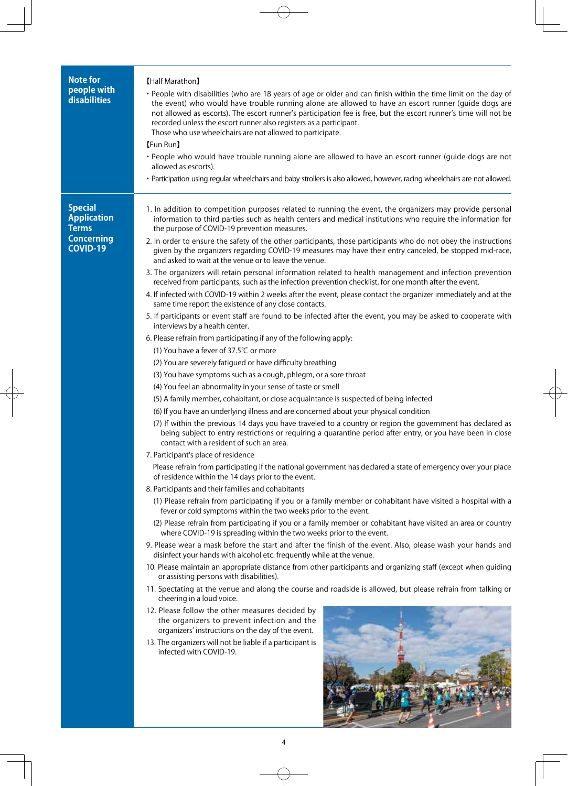| <b>Note for</b><br>people with<br>disabilities                                               | [Half Marathon]<br>• People with disabilities (who are 18 years of age or older and can finish within the time limit on the day of<br>the event) who would have trouble running alone are allowed to have an escort runner (guide dogs are<br>not allowed as escorts). The escort runner's participation fee is free, but the escort runner's time will not be<br>recorded unless the escort runner also registers as a participant.<br>Those who use wheelchairs are not allowed to participate.<br>[Fun Run]<br>· People who would have trouble running alone are allowed to have an escort runner (guide dogs are not<br>allowed as escorts).<br>· Participation using regular wheelchairs and baby strollers is also allowed, however, racing wheelchairs are not allowed.                                                                                                                                                                                                                                                                                                                                                                                                                                                                                                                                                                                                                                                                                                                                                                                                                                                                                                                                                                                                                                                                                                                                                                                                                                                                                                                                                                                                                                                                                                                                                                                                                                                                                                                                                                                                                                                                                                                                                                                                                                                                                                                                                                                                                                                                                                                                                                                                                                                                                                                      |  |  |  |  |  |  |
|----------------------------------------------------------------------------------------------|-----------------------------------------------------------------------------------------------------------------------------------------------------------------------------------------------------------------------------------------------------------------------------------------------------------------------------------------------------------------------------------------------------------------------------------------------------------------------------------------------------------------------------------------------------------------------------------------------------------------------------------------------------------------------------------------------------------------------------------------------------------------------------------------------------------------------------------------------------------------------------------------------------------------------------------------------------------------------------------------------------------------------------------------------------------------------------------------------------------------------------------------------------------------------------------------------------------------------------------------------------------------------------------------------------------------------------------------------------------------------------------------------------------------------------------------------------------------------------------------------------------------------------------------------------------------------------------------------------------------------------------------------------------------------------------------------------------------------------------------------------------------------------------------------------------------------------------------------------------------------------------------------------------------------------------------------------------------------------------------------------------------------------------------------------------------------------------------------------------------------------------------------------------------------------------------------------------------------------------------------------------------------------------------------------------------------------------------------------------------------------------------------------------------------------------------------------------------------------------------------------------------------------------------------------------------------------------------------------------------------------------------------------------------------------------------------------------------------------------------------------------------------------------------------------------------------------------------------------------------------------------------------------------------------------------------------------------------------------------------------------------------------------------------------------------------------------------------------------------------------------------------------------------------------------------------------------------------------------------------------------------------------------------------------------|--|--|--|--|--|--|
| <b>Special</b><br><b>Application</b><br><b>Terms</b><br><b>Concerning</b><br><b>COVID-19</b> | 1. In addition to competition purposes related to running the event, the organizers may provide personal<br>information to third parties such as health centers and medical institutions who require the information for<br>the purpose of COVID-19 prevention measures.<br>2. In order to ensure the safety of the other participants, those participants who do not obey the instructions<br>given by the organizers regarding COVID-19 measures may have their entry canceled, be stopped mid-race,<br>and asked to wait at the venue or to leave the venue.<br>3. The organizers will retain personal information related to health management and infection prevention<br>received from participants, such as the infection prevention checklist, for one month after the event.<br>4. If infected with COVID-19 within 2 weeks after the event, please contact the organizer immediately and at the<br>same time report the existence of any close contacts.<br>5. If participants or event staff are found to be infected after the event, you may be asked to cooperate with<br>interviews by a health center.<br>6. Please refrain from participating if any of the following apply:<br>(1) You have a fever of 37.5℃ or more<br>(2) You are severely fatigued or have difficulty breathing<br>(3) You have symptoms such as a cough, phlegm, or a sore throat<br>(4) You feel an abnormality in your sense of taste or smell<br>(5) A family member, cohabitant, or close acquaintance is suspected of being infected<br>(6) If you have an underlying illness and are concerned about your physical condition<br>(7) If within the previous 14 days you have traveled to a country or region the government has declared as<br>being subject to entry restrictions or requiring a quarantine period after entry, or you have been in close<br>contact with a resident of such an area.<br>7. Participant's place of residence<br>Please refrain from participating if the national government has declared a state of emergency over your place<br>of residence within the 14 days prior to the event.<br>8. Participants and their families and cohabitants<br>(1) Please refrain from participating if you or a family member or cohabitant have visited a hospital with a<br>fever or cold symptoms within the two weeks prior to the event.<br>(2) Please refrain from participating if you or a family member or cohabitant have visited an area or country<br>where COVID-19 is spreading within the two weeks prior to the event.<br>9. Please wear a mask before the start and after the finish of the event. Also, please wash your hands and<br>disinfect your hands with alcohol etc. frequently while at the venue.<br>10. Please maintain an appropriate distance from other participants and organizing staff (except when guiding<br>or assisting persons with disabilities).<br>11. Spectating at the venue and along the course and roadside is allowed, but please refrain from talking or<br>cheering in a loud voice.<br>12. Please follow the other measures decided by<br>the organizers to prevent infection and the<br>organizers' instructions on the day of the event.<br>13. The organizers will not be liable if a participant is<br>infected with COVID-19. |  |  |  |  |  |  |